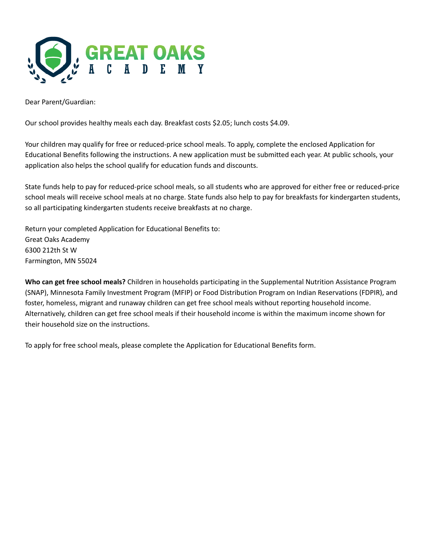

Dear Parent/Guardian:

Our school provides healthy meals each day. Breakfast costs \$2.05; lunch costs \$4.09.

Your children may qualify for free or reduced-price school meals. To apply, complete the enclosed Application for Educational Benefits following the instructions. A new application must be submitted each year. At public schools, your application also helps the school qualify for education funds and discounts.

State funds help to pay for reduced-price school meals, so all students who are approved for either free or reduced-price school meals will receive school meals at no charge. State funds also help to pay for breakfasts for kindergarten students, so all participating kindergarten students receive breakfasts at no charge.

Return your completed Application for Educational Benefits to: Great Oaks Academy 6300 212th St W Farmington, MN 55024

**Who can get free school meals?** Children in households participating in the Supplemental Nutrition Assistance Program (SNAP), Minnesota Family Investment Program (MFIP) or Food Distribution Program on Indian Reservations (FDPIR), and foster, homeless, migrant and runaway children can get free school meals without reporting household income. Alternatively, children can get free school meals if their household income is within the maximum income shown for their household size on the instructions.

To apply for free school meals, please complete the Application for Educational Benefits form.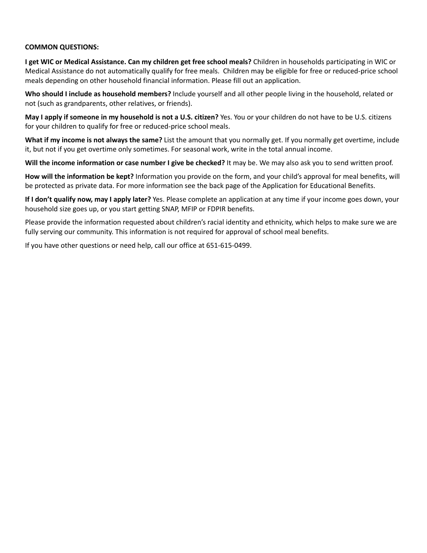## **COMMON QUESTIONS:**

**I get WIC or Medical Assistance. Can my children get free school meals?** Children in households participating in WIC or Medical Assistance do not automatically qualify for free meals. Children may be eligible for free or reduced-price school meals depending on other household financial information. Please fill out an application.

**Who should I include as household members?** Include yourself and all other people living in the household, related or not (such as grandparents, other relatives, or friends).

**May I apply if someone in my household is not a U.S. citizen?** Yes. You or your children do not have to be U.S. citizens for your children to qualify for free or reduced-price school meals.

**What if my income is not always the same?** List the amount that you normally get. If you normally get overtime, include it, but not if you get overtime only sometimes. For seasonal work, write in the total annual income.

**Will the income information or case number I give be checked?** It may be. We may also ask you to send written proof.

**How will the information be kept?** Information you provide on the form, and your child's approval for meal benefits, will be protected as private data. For more information see the back page of the Application for Educational Benefits.

**If I don't qualify now, may I apply later?** Yes. Please complete an application at any time if your income goes down, your household size goes up, or you start getting SNAP, MFIP or FDPIR benefits.

Please provide the information requested about children's racial identity and ethnicity, which helps to make sure we are fully serving our community. This information is not required for approval of school meal benefits.

If you have other questions or need help, call our office at 651-615-0499.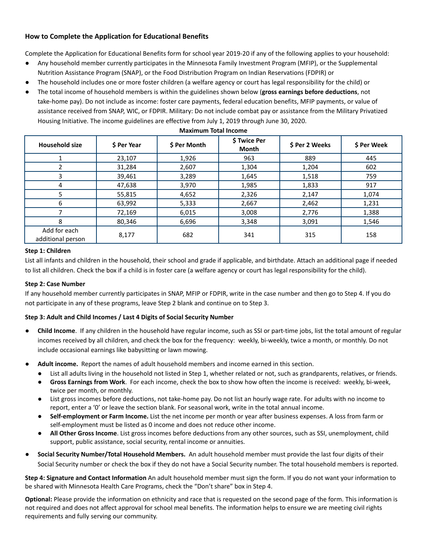## **How to Complete the Application for Educational Benefits**

Complete the Application for Educational Benefits form for school year 2019-20 if any of the following applies to your household:

- Any household member currently participates in the Minnesota Family Investment Program (MFIP), or the Supplemental Nutrition Assistance Program (SNAP), or the Food Distribution Program on Indian Reservations (FDPIR) or
- The household includes one or more foster children (a welfare agency or court has legal responsibility for the child) or
- The total income of household members is within the guidelines shown below (**gross earnings before deductions**, not take-home pay). Do not include as income: foster care payments, federal education benefits, MFIP payments, or value of assistance received from SNAP, WIC, or FDPIR. Military: Do not include combat pay or assistance from the Military Privatized Housing Initiative. The income guidelines are effective from July 1, 2019 through June 30, 2020.

| <b>Household size</b>             | \$ Per Year | \$ Per Month | \$ Twice Per<br><b>Month</b> | \$ Per 2 Weeks | \$ Per Week |
|-----------------------------------|-------------|--------------|------------------------------|----------------|-------------|
|                                   | 23,107      | 1,926        | 963                          | 889            | 445         |
|                                   | 31,284      | 2,607        | 1,304                        | 1,204          | 602         |
| 3                                 | 39,461      | 3,289        | 1,645                        | 1,518          | 759         |
| 4                                 | 47,638      | 3,970        | 1,985                        | 1,833          | 917         |
|                                   | 55,815      | 4,652        | 2,326                        | 2,147          | 1,074       |
| 6                                 | 63,992      | 5,333        | 2,667                        | 2,462          | 1,231       |
|                                   | 72,169      | 6,015        | 3,008                        | 2,776          | 1,388       |
| 8                                 | 80,346      | 6,696        | 3,348                        | 3,091          | 1,546       |
| Add for each<br>additional person | 8,177       | 682          | 341                          | 315            | 158         |

### **Maximum Total Income**

## **Step 1: Children**

List all infants and children in the household, their school and grade if applicable, and birthdate. Attach an additional page if needed to list all children. Check the box if a child is in foster care (a welfare agency or court has legal responsibility for the child).

## **Step 2: Case Number**

If any household member currently participates in SNAP, MFIP or FDPIR, write in the case number and then go to Step 4. If you do not participate in any of these programs, leave Step 2 blank and continue on to Step 3.

## **Step 3: Adult and Child Incomes / Last 4 Digits of Social Security Number**

- **● Child Income**. If any children in the household have regular income, such as SSI or part-time jobs, list the total amount of regular incomes received by all children, and check the box for the frequency: weekly, bi-weekly, twice a month, or monthly. Do not include occasional earnings like babysitting or lawn mowing.
- **● Adult income.** Report the names of adult household members and income earned in this section.
	- List all adults living in the household not listed in Step 1, whether related or not, such as grandparents, relatives, or friends.
	- **Gross Earnings from Work**. For each income, check the box to show how often the income is received: weekly, bi-week, twice per month, or monthly.
	- List gross incomes before deductions, not take-home pay. Do not list an hourly wage rate. For adults with no income to report, enter a '0' or leave the section blank. For seasonal work, write in the total annual income.
	- **Self-employment or Farm Income.** List the net income per month or year after business expenses. A loss from farm or self-employment must be listed as 0 income and does not reduce other income.
	- **All Other Gross Income**. List gross incomes before deductions from any other sources, such as SSI, unemployment, child support, public assistance, social security, rental income or annuities.
- **● Social Security Number/Total Household Members.** An adult household member must provide the last four digits of their Social Security number or check the box if they do not have a Social Security number. The total household members is reported.

**Step 4: Signature and Contact Information** An adult household member must sign the form. If you do not want your information to be shared with Minnesota Health Care Programs, check the "Don't share" box in Step 4.

**Optional:** Please provide the information on ethnicity and race that is requested on the second page of the form. This information is not required and does not affect approval for school meal benefits. The information helps to ensure we are meeting civil rights requirements and fully serving our community.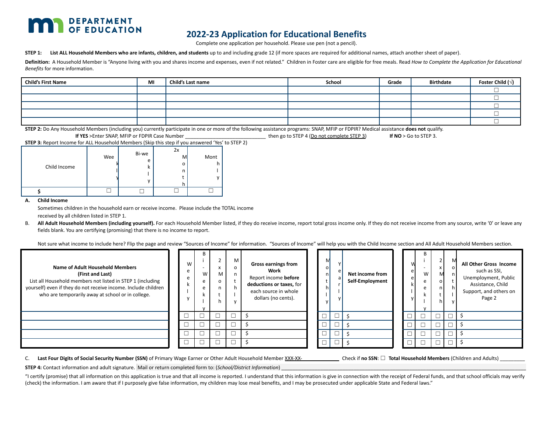# **DEPARTMENT** OF EDUCATION

# **2022-23 Application for Educational Benefits**

Complete one application per household. Please use pen (not a pencil).

STEP 1: List ALL Household Members who are infants, children, and students up to and including grade 12 (if more spaces are required for additional names, attach another sheet of paper).

Definition: A Household Member is "Anyone living with you and shares income and expenses, even if not related." Children in Foster care are eligible for free meals. Read How to Complete the Application for Educational *Benefits* for more information.

| <b>Child's First Name</b> | MI | Child's Last name | School | Grade | <b>Birthdate</b> | Foster Child ( $\sqrt{}$ ) |
|---------------------------|----|-------------------|--------|-------|------------------|----------------------------|
|                           |    |                   |        |       |                  |                            |
|                           |    |                   |        |       |                  |                            |
|                           |    |                   |        |       |                  |                            |
|                           |    |                   |        |       |                  |                            |
|                           |    |                   |        |       |                  |                            |

then go to STEP 4 (Do not complete STEP 3) **If NO** > Go to STEP 3.

**STEP 2:** Do Any Household Members (including you) currently participate in one or more of the following assistance programs: SNAP, MFIP or FDPIR? Medical assistance **does not** qualify.<br>**If NO** S Ga to STEP 3

| <b>IT TES</b> PLITTER SIVAR, IVILIP OF FORM CASE INDITIVER                                              |     |            |          |      |  |  |  |  |  |
|---------------------------------------------------------------------------------------------------------|-----|------------|----------|------|--|--|--|--|--|
| <b>STEP 3:</b> Report Income for ALL Household Members (Skip this step if you answered 'Yes' to STEP 2) |     |            |          |      |  |  |  |  |  |
| Child Income                                                                                            | Wee | Bi-we<br>е | 2x<br>MI | Mont |  |  |  |  |  |
|                                                                                                         |     |            |          |      |  |  |  |  |  |

#### **A. Child Income**

Sometimes children in the household earn or receive income. Please include the TOTAL income received by all children listed in STEP 1.

B. All Adult Household Members (including yourself). For each Household Member listed, if they do receive income, report total gross income only. If they do not receive income from any source, write 'O' or leave any fields blank. You are certifying (promising) that there is no income to report.

Not sure what income to include here? Flip the page and review "Sources of Income" for information. "Sources of Income" will help you with the Child Income section and All Adult Household Members section.

| Name of Adult Household Members<br>(First and Last)<br>List all Household members not listed in STEP 1 (including<br>yourself) even if they do not receive income. Include children<br>who are temporarily away at school or in college. | W | B<br>W<br>e<br>e | $\lambda$<br>м<br>$\circ$ | M | <b>Gross earnings from</b><br>Work<br>Report income before<br>deductions or taxes, for<br>each source in whole<br>dollars (no cents). | м<br>οI<br>nl<br>h I     | $\epsilon$ | Net income from<br>Self-Employment | ١٨<br>e<br>e | B<br>W<br>e<br>e |  | All Other Gross Income<br>such as SSI,<br>Unemployment, Public<br>Assistance, Child<br>Support, and others on<br>Page 2 |
|------------------------------------------------------------------------------------------------------------------------------------------------------------------------------------------------------------------------------------------|---|------------------|---------------------------|---|---------------------------------------------------------------------------------------------------------------------------------------|--------------------------|------------|------------------------------------|--------------|------------------|--|-------------------------------------------------------------------------------------------------------------------------|
|                                                                                                                                                                                                                                          |   |                  |                           |   |                                                                                                                                       |                          |            |                                    |              |                  |  |                                                                                                                         |
|                                                                                                                                                                                                                                          |   |                  |                           |   |                                                                                                                                       |                          |            |                                    |              |                  |  |                                                                                                                         |
|                                                                                                                                                                                                                                          |   |                  |                           |   |                                                                                                                                       |                          |            |                                    |              |                  |  |                                                                                                                         |
|                                                                                                                                                                                                                                          |   |                  |                           |   |                                                                                                                                       | $\overline{\phantom{0}}$ |            |                                    |              |                  |  |                                                                                                                         |

C. Last Four Digits of Social Security Number (SSN) of Primary Wage Earner or Other Adult Household Member XXX-XX-<br>
Check if no SSN: □ Total Household Members (Children and Adults) \_

STEP 4: Contact information and adult signature. Mail or return completed form to: (School/District Information)

"I certify (promise) that all information on this application is true and that all income is reported. I understand that this information is give in connection with the receipt of Federal funds, and that school officials m (check) the information. I am aware that if I purposely give false information, my children may lose meal benefits, and I may be prosecuted under applicable State and Federal laws."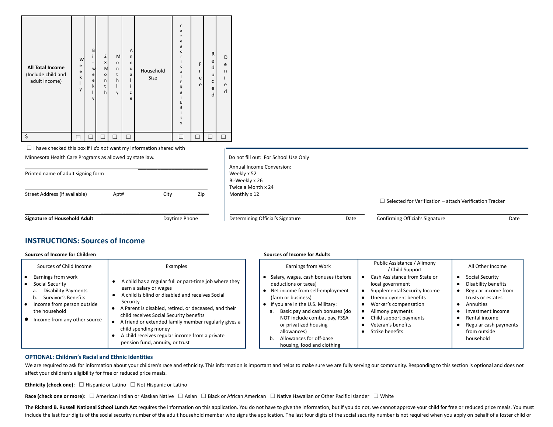| All Total Income<br>(Include child and<br>adult income) | W<br>e<br>e<br>k<br>ш<br>y | B<br>i<br>$\overline{\phantom{a}}$<br>W<br>e<br>e<br>k<br>ı<br>y | $\overline{2}$<br>x<br>M<br>$\Omega$<br>n<br>t<br>h | M<br>$\circ$<br>n<br>t<br>h<br>y | $\overline{A}$<br>n<br>n<br>u<br>a<br>i<br>Z<br>e | Household<br>Size | $\mathsf C$<br>a<br>t<br>e<br>g<br>$\circ$<br>r<br>i.<br>c<br>a<br>ı<br>E<br>li<br>g<br>b<br>il<br>t<br>y | F<br>r<br>e<br>e | $\mathsf{R}$<br>e<br>d<br>u<br>$\mathsf{C}$<br>e<br>d | D<br>e<br>n<br>i<br>e<br>d |  |
|---------------------------------------------------------|----------------------------|------------------------------------------------------------------|-----------------------------------------------------|----------------------------------|---------------------------------------------------|-------------------|-----------------------------------------------------------------------------------------------------------|------------------|-------------------------------------------------------|----------------------------|--|
| \$                                                      |                            |                                                                  |                                                     |                                  |                                                   |                   |                                                                                                           |                  |                                                       |                            |  |

☐ I have checked this box if I *do not* want my information shared with

Minnesota Health Care Programs as allowed by state law. <br>
Do not fill out: For School Use Only

| Printed name of adult signing form  |      |               |     |
|-------------------------------------|------|---------------|-----|
| Street Address (if available)       | Apt# | City          | Zip |
| <b>Signature of Household Adult</b> |      | Daytime Phone |     |

Annual Income Conversion: Weekly x 52 Bi-Weekly x 26 Twice a Month x 24 Monthly x 12

 $\Box$  Selected for Verification – attach Verification Tracker

**Determining Official's Signature <b>Signature** Date Confirming Official's Signature Date Date Confirming Official's Signature Date

## **INSTRUCTIONS: Sources of Income**

#### **Sources of Income for Children Sources of Income for Adults**

| Sources of Child Income                                                                                                                                                                   | Examples                                                                                                                                                                                                                                                                                                                                                                                                                  | Earnings from Work                                                                                                                                                                                                                                                                                                                | Public Assistance / Alimony<br>/ Child Support                                                                                                                                                                             | All Other Income                                                                                                                                                                            |
|-------------------------------------------------------------------------------------------------------------------------------------------------------------------------------------------|---------------------------------------------------------------------------------------------------------------------------------------------------------------------------------------------------------------------------------------------------------------------------------------------------------------------------------------------------------------------------------------------------------------------------|-----------------------------------------------------------------------------------------------------------------------------------------------------------------------------------------------------------------------------------------------------------------------------------------------------------------------------------|----------------------------------------------------------------------------------------------------------------------------------------------------------------------------------------------------------------------------|---------------------------------------------------------------------------------------------------------------------------------------------------------------------------------------------|
| Earnings from work<br>• Social Security<br><b>Disability Payments</b><br>а.<br>Survivor's Benefits<br>b.<br>Income from person outside<br>the household<br>• Income from any other source | A child has a regular full or part-time job where they<br>earn a salary or wages<br>A child is blind or disabled and receives Social<br>Security<br>A Parent is disabled, retired, or deceased, and their<br>child receives Social Security benefits<br>A friend or extended family member regularly gives a<br>child spending money<br>A child receives regular income from a private<br>pension fund, annuity, or trust | Salary, wages, cash bonuses (before<br>deductions or taxes)<br>Net income from self-employment<br>(farm or business)<br>If you are in the U.S. Military:<br>Basic pay and cash bonuses (do<br>a.<br>NOT include combat pay, FSSA<br>or privatized housing<br>allowances)<br>Allowances for off-base<br>housing, food and clothing | Cash Assistance from State or<br>local government<br>Supplemental Security Income<br>Unemployment benefits<br>Worker's compensation<br>Alimony payments<br>Child support payments<br>Veteran's benefits<br>Strike benefits | Social Security<br>Disability benefits<br>Regular income from<br>trusts or estates<br>Annuities<br>Investment income<br>Rental income<br>Regular cash payments<br>from outside<br>household |

### **OPTIONAL: Children's Racial and Ethnic Identities**

We are required to ask for information about your children's race and ethnicity. This information is important and helps to make sure we are fully serving our community. Responding to this section is optional and does not affect your children's eligibility for free or reduced price meals.

**Ethnicity (check one):** ☐ Hispanic or Latino ☐ Not Hispanic or Latino

**Race (check one or more)**: ☐ American Indian or Alaskan Native ☐ Asian ☐ Black or African American ☐ Native Hawaiian or Other Pacific Islander ☐ White

The Richard B. Russell National School Lunch Act requires the information on this application. You do not have to give the information, but if you do not, we cannot approve your child for free or reduced price meals. You m include the last four digits of the social security number of the adult household member who signs the application. The last four digits of the social security number is not required when you apply on behalf of a foster ch